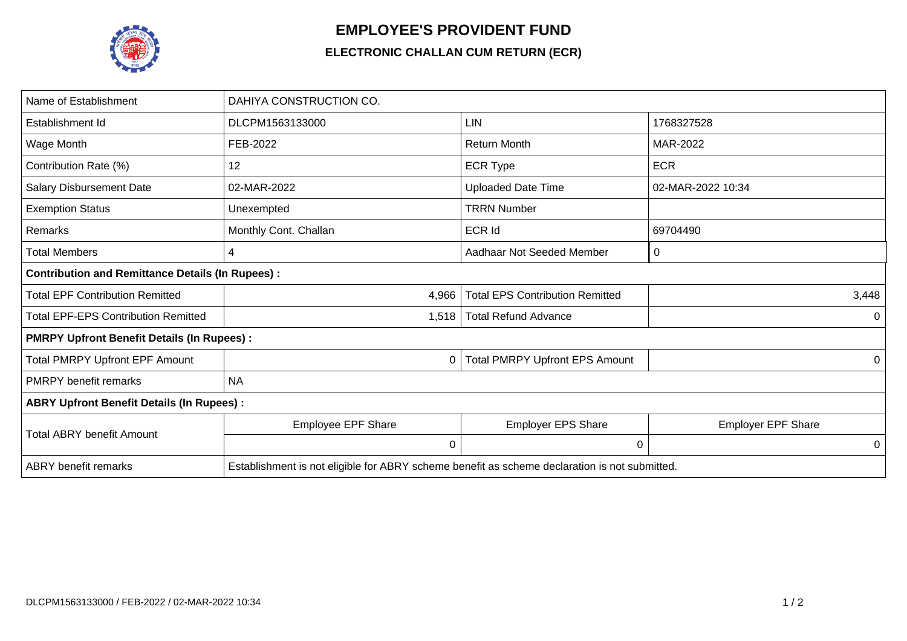

## **EMPLOYEE'S PROVIDENT FUND**

## **ELECTRONIC CHALLAN CUM RETURN (ECR)**

| Name of Establishment                                   | DAHIYA CONSTRUCTION CO.                                                                       |                                        |                           |  |  |  |
|---------------------------------------------------------|-----------------------------------------------------------------------------------------------|----------------------------------------|---------------------------|--|--|--|
| Establishment Id                                        | DLCPM1563133000                                                                               | <b>LIN</b>                             | 1768327528                |  |  |  |
| Wage Month                                              | FEB-2022                                                                                      | <b>Return Month</b>                    | MAR-2022                  |  |  |  |
| Contribution Rate (%)                                   | 12                                                                                            | <b>ECR Type</b>                        | <b>ECR</b>                |  |  |  |
| <b>Salary Disbursement Date</b>                         | 02-MAR-2022                                                                                   | <b>Uploaded Date Time</b>              | 02-MAR-2022 10:34         |  |  |  |
| <b>Exemption Status</b>                                 | Unexempted                                                                                    | <b>TRRN Number</b>                     |                           |  |  |  |
| <b>Remarks</b>                                          | Monthly Cont. Challan                                                                         | ECR Id                                 | 69704490                  |  |  |  |
| <b>Total Members</b>                                    | 4                                                                                             | Aadhaar Not Seeded Member              | 0                         |  |  |  |
| <b>Contribution and Remittance Details (In Rupees):</b> |                                                                                               |                                        |                           |  |  |  |
| <b>Total EPF Contribution Remitted</b>                  | 4,966                                                                                         | <b>Total EPS Contribution Remitted</b> | 3,448                     |  |  |  |
| <b>Total EPF-EPS Contribution Remitted</b>              | 1,518                                                                                         | <b>Total Refund Advance</b>            | 0                         |  |  |  |
| <b>PMRPY Upfront Benefit Details (In Rupees):</b>       |                                                                                               |                                        |                           |  |  |  |
| <b>Total PMRPY Upfront EPF Amount</b>                   | 0                                                                                             | <b>Total PMRPY Upfront EPS Amount</b>  | 0                         |  |  |  |
| <b>PMRPY</b> benefit remarks                            | <b>NA</b>                                                                                     |                                        |                           |  |  |  |
| <b>ABRY Upfront Benefit Details (In Rupees):</b>        |                                                                                               |                                        |                           |  |  |  |
| <b>Total ABRY benefit Amount</b>                        | Employee EPF Share                                                                            | <b>Employer EPS Share</b>              | <b>Employer EPF Share</b> |  |  |  |
|                                                         | 0                                                                                             | 0                                      | 0                         |  |  |  |
| <b>ABRY</b> benefit remarks                             | Establishment is not eligible for ABRY scheme benefit as scheme declaration is not submitted. |                                        |                           |  |  |  |